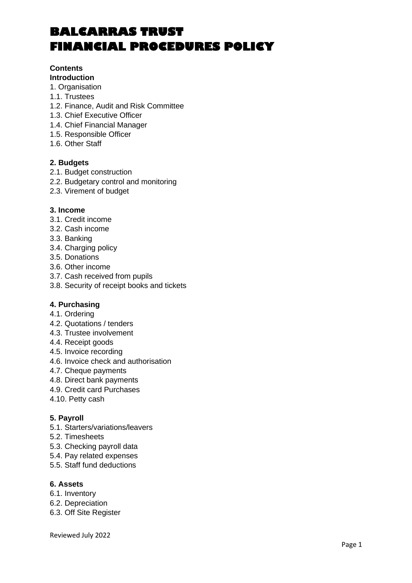## **Contents**

## **Introduction**

- 1. Organisation
- 1.1. Trustees
- 1.2. Finance, Audit and Risk Committee
- 1.3. Chief Executive Officer
- 1.4. Chief Financial Manager
- 1.5. Responsible Officer
- 1.6. Other Staff

## **2. Budgets**

- 2.1. Budget construction
- 2.2. Budgetary control and monitoring
- 2.3. Virement of budget

## **3. Income**

- 3.1. Credit income
- 3.2. Cash income
- 3.3. Banking
- 3.4. Charging policy
- 3.5. Donations
- 3.6. Other income
- 3.7. Cash received from pupils
- 3.8. Security of receipt books and tickets

## **4. Purchasing**

- 4.1. Ordering
- 4.2. Quotations / tenders
- 4.3. Trustee involvement
- 4.4. Receipt goods
- 4.5. Invoice recording
- 4.6. Invoice check and authorisation
- 4.7. Cheque payments
- 4.8. Direct bank payments
- 4.9. Credit card Purchases
- 4.10. Petty cash

## **5. Payroll**

- 5.1. Starters/variations/leavers
- 5.2. Timesheets
- 5.3. Checking payroll data
- 5.4. Pay related expenses
- 5.5. Staff fund deductions

## **6. Assets**

- 6.1. Inventory
- 6.2. Depreciation
- 6.3. Off Site Register

Reviewed July 2022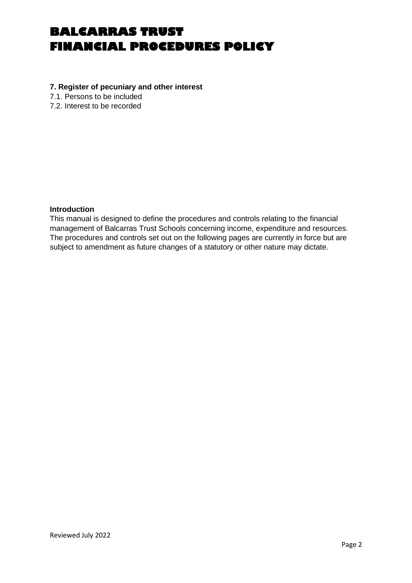### **7. Register of pecuniary and other interest**

7.1. Persons to be included

7.2. Interest to be recorded

## **Introduction**

This manual is designed to define the procedures and controls relating to the financial management of Balcarras Trust Schools concerning income, expenditure and resources. The procedures and controls set out on the following pages are currently in force but are subject to amendment as future changes of a statutory or other nature may dictate.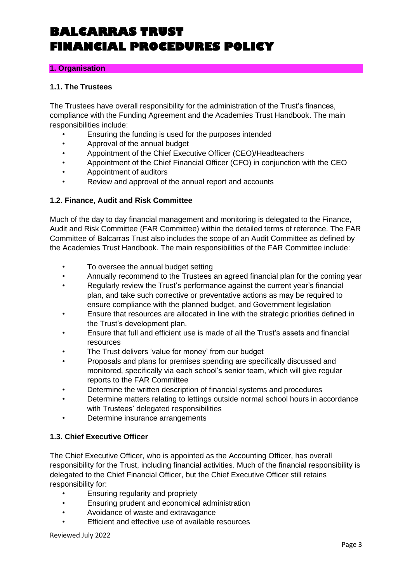## **1. Organisation**

## **1.1. The Trustees**

The Trustees have overall responsibility for the administration of the Trust's finances, compliance with the Funding Agreement and the Academies Trust Handbook. The main responsibilities include:

- Ensuring the funding is used for the purposes intended
- Approval of the annual budget
- Appointment of the Chief Executive Officer (CEO)/Headteachers
- Appointment of the Chief Financial Officer (CFO) in conjunction with the CEO
- Appointment of auditors
- Review and approval of the annual report and accounts

## **1.2. Finance, Audit and Risk Committee**

Much of the day to day financial management and monitoring is delegated to the Finance, Audit and Risk Committee (FAR Committee) within the detailed terms of reference. The FAR Committee of Balcarras Trust also includes the scope of an Audit Committee as defined by the Academies Trust Handbook. The main responsibilities of the FAR Committee include:

- To oversee the annual budget setting
- Annually recommend to the Trustees an agreed financial plan for the coming year
- Regularly review the Trust's performance against the current year's financial plan, and take such corrective or preventative actions as may be required to ensure compliance with the planned budget, and Government legislation
- Ensure that resources are allocated in line with the strategic priorities defined in the Trust's development plan.
- Ensure that full and efficient use is made of all the Trust's assets and financial resources
- The Trust delivers 'value for money' from our budget
- Proposals and plans for premises spending are specifically discussed and monitored, specifically via each school's senior team, which will give regular reports to the FAR Committee
- Determine the written description of financial systems and procedures
- Determine matters relating to lettings outside normal school hours in accordance with Trustees' delegated responsibilities
- Determine insurance arrangements

## **1.3. Chief Executive Officer**

The Chief Executive Officer, who is appointed as the Accounting Officer, has overall responsibility for the Trust, including financial activities. Much of the financial responsibility is delegated to the Chief Financial Officer, but the Chief Executive Officer still retains responsibility for:

- Ensuring regularity and propriety
- Ensuring prudent and economical administration
- Avoidance of waste and extravagance
- Efficient and effective use of available resources

Reviewed July 2022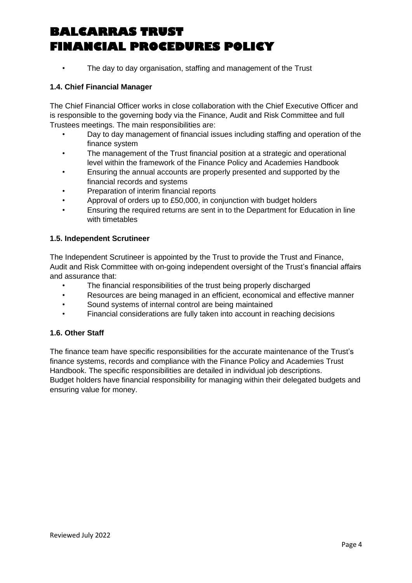• The day to day organisation, staffing and management of the Trust

## **1.4. Chief Financial Manager**

The Chief Financial Officer works in close collaboration with the Chief Executive Officer and is responsible to the governing body via the Finance, Audit and Risk Committee and full Trustees meetings. The main responsibilities are:

- Day to day management of financial issues including staffing and operation of the finance system
- The management of the Trust financial position at a strategic and operational level within the framework of the Finance Policy and Academies Handbook
- Ensuring the annual accounts are properly presented and supported by the financial records and systems
- Preparation of interim financial reports
- Approval of orders up to £50,000, in conjunction with budget holders
- Ensuring the required returns are sent in to the Department for Education in line with timetables

## **1.5. Independent Scrutineer**

The Independent Scrutineer is appointed by the Trust to provide the Trust and Finance, Audit and Risk Committee with on-going independent oversight of the Trust's financial affairs and assurance that:

- The financial responsibilities of the trust being properly discharged
- Resources are being managed in an efficient, economical and effective manner
- Sound systems of internal control are being maintained
- Financial considerations are fully taken into account in reaching decisions

## **1.6. Other Staff**

The finance team have specific responsibilities for the accurate maintenance of the Trust's finance systems, records and compliance with the Finance Policy and Academies Trust Handbook. The specific responsibilities are detailed in individual job descriptions. Budget holders have financial responsibility for managing within their delegated budgets and ensuring value for money.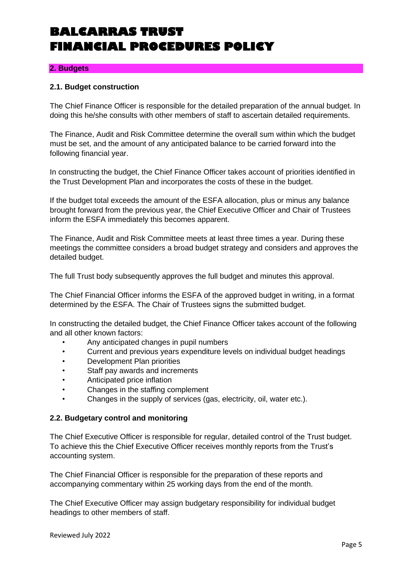## **2. Budgets**

### **2.1. Budget construction**

The Chief Finance Officer is responsible for the detailed preparation of the annual budget. In doing this he/she consults with other members of staff to ascertain detailed requirements.

The Finance, Audit and Risk Committee determine the overall sum within which the budget must be set, and the amount of any anticipated balance to be carried forward into the following financial year.

In constructing the budget, the Chief Finance Officer takes account of priorities identified in the Trust Development Plan and incorporates the costs of these in the budget.

If the budget total exceeds the amount of the ESFA allocation, plus or minus any balance brought forward from the previous year, the Chief Executive Officer and Chair of Trustees inform the ESFA immediately this becomes apparent.

The Finance, Audit and Risk Committee meets at least three times a year. During these meetings the committee considers a broad budget strategy and considers and approves the detailed budget.

The full Trust body subsequently approves the full budget and minutes this approval.

The Chief Financial Officer informs the ESFA of the approved budget in writing, in a format determined by the ESFA. The Chair of Trustees signs the submitted budget.

In constructing the detailed budget, the Chief Finance Officer takes account of the following and all other known factors:

- Any anticipated changes in pupil numbers
- Current and previous years expenditure levels on individual budget headings
- Development Plan priorities
- Staff pay awards and increments
- Anticipated price inflation
- Changes in the staffing complement
- Changes in the supply of services (gas, electricity, oil, water etc.).

#### **2.2. Budgetary control and monitoring**

The Chief Executive Officer is responsible for regular, detailed control of the Trust budget. To achieve this the Chief Executive Officer receives monthly reports from the Trust's accounting system.

The Chief Financial Officer is responsible for the preparation of these reports and accompanying commentary within 25 working days from the end of the month.

The Chief Executive Officer may assign budgetary responsibility for individual budget headings to other members of staff.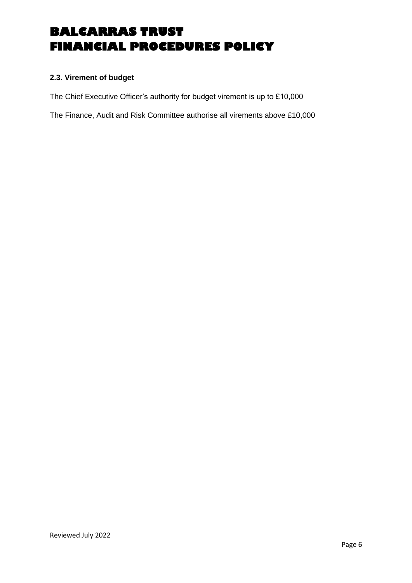## **2.3. Virement of budget**

The Chief Executive Officer's authority for budget virement is up to £10,000

The Finance, Audit and Risk Committee authorise all virements above £10,000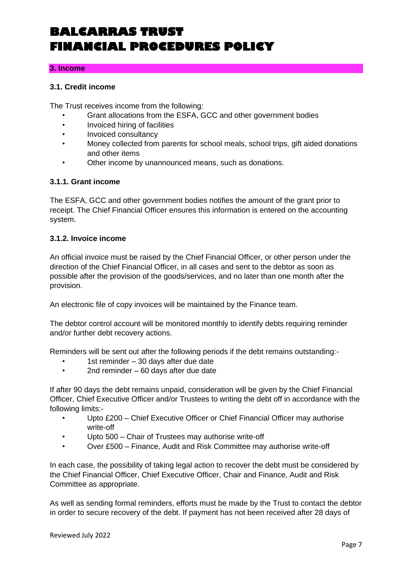### **3. Income**

## **3.1. Credit income**

The Trust receives income from the following:

- Grant allocations from the ESFA, GCC and other government bodies
- Invoiced hiring of facilities
- Invoiced consultancy
- Money collected from parents for school meals, school trips, gift aided donations and other items
- Other income by unannounced means, such as donations.

### **3.1.1. Grant income**

The ESFA, GCC and other government bodies notifies the amount of the grant prior to receipt. The Chief Financial Officer ensures this information is entered on the accounting system.

### **3.1.2. Invoice income**

An official invoice must be raised by the Chief Financial Officer, or other person under the direction of the Chief Financial Officer, in all cases and sent to the debtor as soon as possible after the provision of the goods/services, and no later than one month after the provision.

An electronic file of copy invoices will be maintained by the Finance team.

The debtor control account will be monitored monthly to identify debts requiring reminder and/or further debt recovery actions.

Reminders will be sent out after the following periods if the debt remains outstanding:-

- 1st reminder 30 days after due date
- 2nd reminder 60 days after due date

If after 90 days the debt remains unpaid, consideration will be given by the Chief Financial Officer, Chief Executive Officer and/or Trustees to writing the debt off in accordance with the following limits:-

- Upto £200 Chief Executive Officer or Chief Financial Officer may authorise write-off
- Upto 500 Chair of Trustees may authorise write-off
- Over £500 Finance, Audit and Risk Committee may authorise write-off

In each case, the possibility of taking legal action to recover the debt must be considered by the Chief Financial Officer, Chief Executive Officer, Chair and Finance, Audit and Risk Committee as appropriate.

As well as sending formal reminders, efforts must be made by the Trust to contact the debtor in order to secure recovery of the debt. If payment has not been received after 28 days of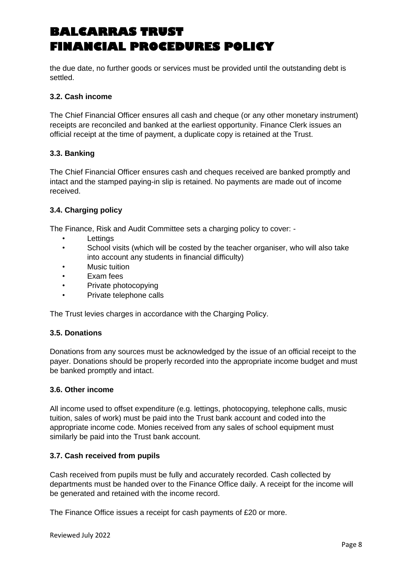the due date, no further goods or services must be provided until the outstanding debt is settled.

## **3.2. Cash income**

The Chief Financial Officer ensures all cash and cheque (or any other monetary instrument) receipts are reconciled and banked at the earliest opportunity. Finance Clerk issues an official receipt at the time of payment, a duplicate copy is retained at the Trust.

## **3.3. Banking**

The Chief Financial Officer ensures cash and cheques received are banked promptly and intact and the stamped paying-in slip is retained. No payments are made out of income received.

## **3.4. Charging policy**

The Finance, Risk and Audit Committee sets a charging policy to cover: -

- Lettings
- School visits (which will be costed by the teacher organiser, who will also take into account any students in financial difficulty)
- Music tuition
- Exam fees
- Private photocopying
- Private telephone calls

The Trust levies charges in accordance with the Charging Policy.

## **3.5. Donations**

Donations from any sources must be acknowledged by the issue of an official receipt to the payer. Donations should be properly recorded into the appropriate income budget and must be banked promptly and intact.

## **3.6. Other income**

All income used to offset expenditure (e.g. lettings, photocopying, telephone calls, music tuition, sales of work) must be paid into the Trust bank account and coded into the appropriate income code. Monies received from any sales of school equipment must similarly be paid into the Trust bank account.

## **3.7. Cash received from pupils**

Cash received from pupils must be fully and accurately recorded. Cash collected by departments must be handed over to the Finance Office daily. A receipt for the income will be generated and retained with the income record.

The Finance Office issues a receipt for cash payments of £20 or more.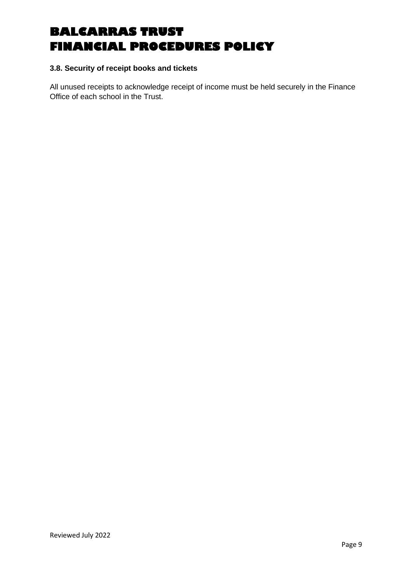## **3.8. Security of receipt books and tickets**

All unused receipts to acknowledge receipt of income must be held securely in the Finance Office of each school in the Trust.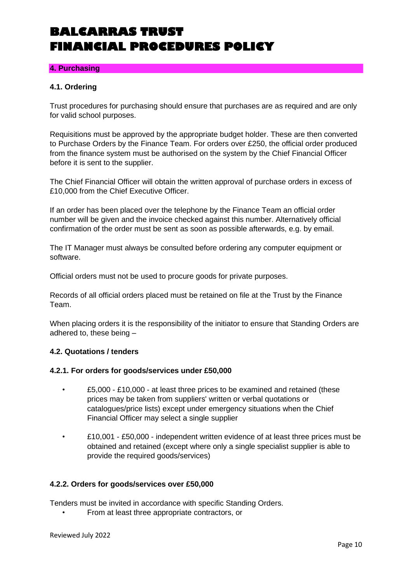## **4. Purchasing**

## **4.1. Ordering**

Trust procedures for purchasing should ensure that purchases are as required and are only for valid school purposes.

Requisitions must be approved by the appropriate budget holder. These are then converted to Purchase Orders by the Finance Team. For orders over £250, the official order produced from the finance system must be authorised on the system by the Chief Financial Officer before it is sent to the supplier.

The Chief Financial Officer will obtain the written approval of purchase orders in excess of £10,000 from the Chief Executive Officer.

If an order has been placed over the telephone by the Finance Team an official order number will be given and the invoice checked against this number. Alternatively official confirmation of the order must be sent as soon as possible afterwards, e.g. by email.

The IT Manager must always be consulted before ordering any computer equipment or software.

Official orders must not be used to procure goods for private purposes.

Records of all official orders placed must be retained on file at the Trust by the Finance Team.

When placing orders it is the responsibility of the initiator to ensure that Standing Orders are adhered to, these being –

## **4.2. Quotations / tenders**

#### **4.2.1. For orders for goods/services under £50,000**

- £5,000 £10,000 at least three prices to be examined and retained (these prices may be taken from suppliers' written or verbal quotations or catalogues/price lists) except under emergency situations when the Chief Financial Officer may select a single supplier
- £10,001 £50,000 independent written evidence of at least three prices must be obtained and retained (except where only a single specialist supplier is able to provide the required goods/services)

## **4.2.2. Orders for goods/services over £50,000**

Tenders must be invited in accordance with specific Standing Orders.

• From at least three appropriate contractors, or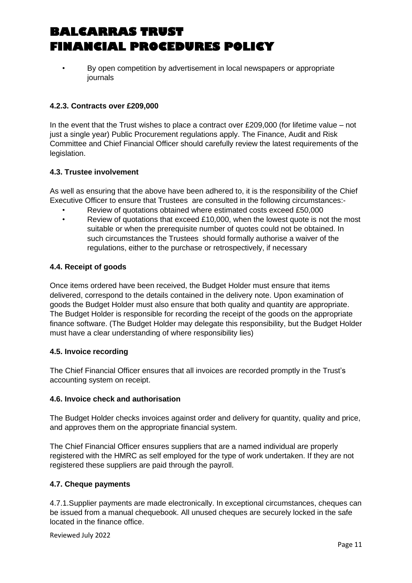• By open competition by advertisement in local newspapers or appropriate journals

## **4.2.3. Contracts over £209,000**

In the event that the Trust wishes to place a contract over £209,000 (for lifetime value – not just a single year) Public Procurement regulations apply. The Finance, Audit and Risk Committee and Chief Financial Officer should carefully review the latest requirements of the legislation.

## **4.3. Trustee involvement**

As well as ensuring that the above have been adhered to, it is the responsibility of the Chief Executive Officer to ensure that Trustees are consulted in the following circumstances:-

- Review of quotations obtained where estimated costs exceed £50,000
- Review of quotations that exceed £10,000, when the lowest quote is not the most suitable or when the prerequisite number of quotes could not be obtained. In such circumstances the Trustees should formally authorise a waiver of the regulations, either to the purchase or retrospectively, if necessary

## **4.4. Receipt of goods**

Once items ordered have been received, the Budget Holder must ensure that items delivered, correspond to the details contained in the delivery note. Upon examination of goods the Budget Holder must also ensure that both quality and quantity are appropriate. The Budget Holder is responsible for recording the receipt of the goods on the appropriate finance software. (The Budget Holder may delegate this responsibility, but the Budget Holder must have a clear understanding of where responsibility lies)

## **4.5. Invoice recording**

The Chief Financial Officer ensures that all invoices are recorded promptly in the Trust's accounting system on receipt.

## **4.6. Invoice check and authorisation**

The Budget Holder checks invoices against order and delivery for quantity, quality and price, and approves them on the appropriate financial system.

The Chief Financial Officer ensures suppliers that are a named individual are properly registered with the HMRC as self employed for the type of work undertaken. If they are not registered these suppliers are paid through the payroll.

## **4.7. Cheque payments**

4.7.1.Supplier payments are made electronically. In exceptional circumstances, cheques can be issued from a manual chequebook. All unused cheques are securely locked in the safe located in the finance office.

Reviewed July 2022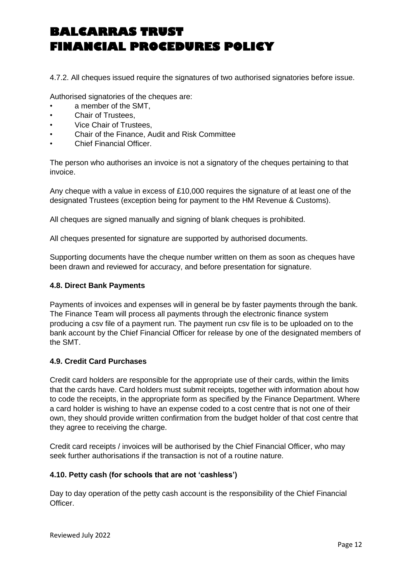4.7.2. All cheques issued require the signatures of two authorised signatories before issue.

Authorised signatories of the cheques are:

- a member of the SMT.
- Chair of Trustees,
- Vice Chair of Trustees,
- Chair of the Finance, Audit and Risk Committee
- Chief Financial Officer.

The person who authorises an invoice is not a signatory of the cheques pertaining to that invoice.

Any cheque with a value in excess of £10,000 requires the signature of at least one of the designated Trustees (exception being for payment to the HM Revenue & Customs).

All cheques are signed manually and signing of blank cheques is prohibited.

All cheques presented for signature are supported by authorised documents.

Supporting documents have the cheque number written on them as soon as cheques have been drawn and reviewed for accuracy, and before presentation for signature.

### **4.8. Direct Bank Payments**

Payments of invoices and expenses will in general be by faster payments through the bank. The Finance Team will process all payments through the electronic finance system producing a csv file of a payment run. The payment run csv file is to be uploaded on to the bank account by the Chief Financial Officer for release by one of the designated members of the SMT.

## **4.9. Credit Card Purchases**

Credit card holders are responsible for the appropriate use of their cards, within the limits that the cards have. Card holders must submit receipts, together with information about how to code the receipts, in the appropriate form as specified by the Finance Department. Where a card holder is wishing to have an expense coded to a cost centre that is not one of their own, they should provide written confirmation from the budget holder of that cost centre that they agree to receiving the charge.

Credit card receipts / invoices will be authorised by the Chief Financial Officer, who may seek further authorisations if the transaction is not of a routine nature.

## **4.10. Petty cash (for schools that are not 'cashless')**

Day to day operation of the petty cash account is the responsibility of the Chief Financial Officer.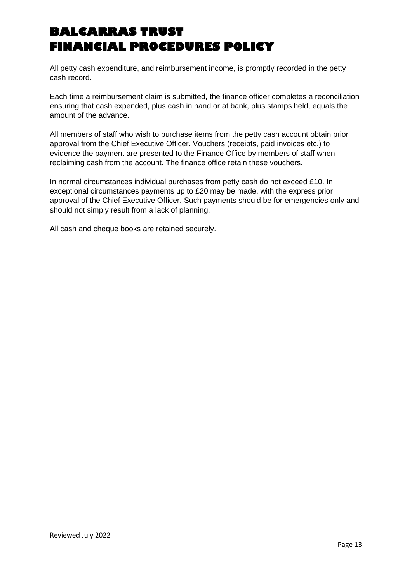All petty cash expenditure, and reimbursement income, is promptly recorded in the petty cash record.

Each time a reimbursement claim is submitted, the finance officer completes a reconciliation ensuring that cash expended, plus cash in hand or at bank, plus stamps held, equals the amount of the advance.

All members of staff who wish to purchase items from the petty cash account obtain prior approval from the Chief Executive Officer. Vouchers (receipts, paid invoices etc.) to evidence the payment are presented to the Finance Office by members of staff when reclaiming cash from the account. The finance office retain these vouchers.

In normal circumstances individual purchases from petty cash do not exceed £10. In exceptional circumstances payments up to £20 may be made, with the express prior approval of the Chief Executive Officer. Such payments should be for emergencies only and should not simply result from a lack of planning.

All cash and cheque books are retained securely.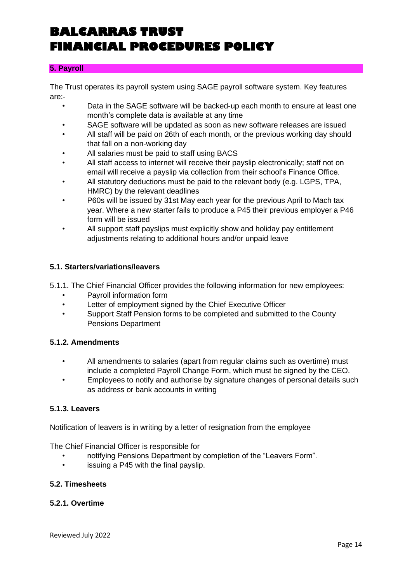### **5. Payroll**

The Trust operates its payroll system using SAGE payroll software system. Key features are:-

- Data in the SAGE software will be backed-up each month to ensure at least one month's complete data is available at any time
- SAGE software will be updated as soon as new software releases are issued
- All staff will be paid on 26th of each month, or the previous working day should that fall on a non-working day
- All salaries must be paid to staff using BACS
- All staff access to internet will receive their payslip electronically; staff not on email will receive a payslip via collection from their school's Finance Office.
- All statutory deductions must be paid to the relevant body (e.g. LGPS, TPA, HMRC) by the relevant deadlines
- P60s will be issued by 31st May each year for the previous April to Mach tax year. Where a new starter fails to produce a P45 their previous employer a P46 form will be issued
- All support staff payslips must explicitly show and holiday pay entitlement adjustments relating to additional hours and/or unpaid leave

#### **5.1. Starters/variations/leavers**

5.1.1. The Chief Financial Officer provides the following information for new employees:

- Payroll information form
- Letter of employment signed by the Chief Executive Officer
- Support Staff Pension forms to be completed and submitted to the County Pensions Department

#### **5.1.2. Amendments**

- All amendments to salaries (apart from regular claims such as overtime) must include a completed Payroll Change Form, which must be signed by the CEO.
- Employees to notify and authorise by signature changes of personal details such as address or bank accounts in writing

### **5.1.3. Leavers**

Notification of leavers is in writing by a letter of resignation from the employee

The Chief Financial Officer is responsible for

- notifying Pensions Department by completion of the "Leavers Form".
- issuing a P45 with the final payslip.

## **5.2. Timesheets**

#### **5.2.1. Overtime**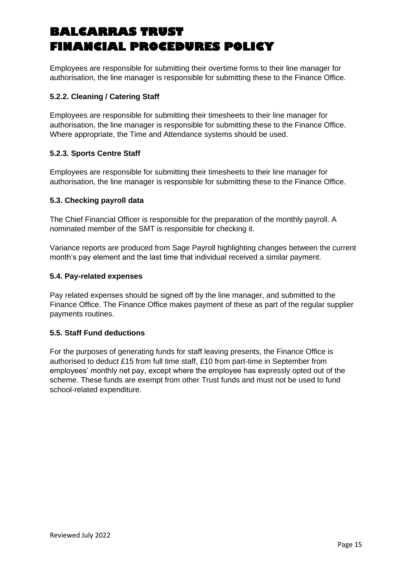Employees are responsible for submitting their overtime forms to their line manager for authorisation, the line manager is responsible for submitting these to the Finance Office.

## **5.2.2. Cleaning / Catering Staff**

Employees are responsible for submitting their timesheets to their line manager for authorisation, the line manager is responsible for submitting these to the Finance Office. Where appropriate, the Time and Attendance systems should be used.

## **5.2.3. Sports Centre Staff**

Employees are responsible for submitting their timesheets to their line manager for authorisation, the line manager is responsible for submitting these to the Finance Office.

## **5.3. Checking payroll data**

The Chief Financial Officer is responsible for the preparation of the monthly payroll. A nominated member of the SMT is responsible for checking it.

Variance reports are produced from Sage Payroll highlighting changes between the current month's pay element and the last time that individual received a similar payment.

### **5.4. Pay-related expenses**

Pay related expenses should be signed off by the line manager, and submitted to the Finance Office. The Finance Office makes payment of these as part of the regular supplier payments routines.

## **5.5. Staff Fund deductions**

For the purposes of generating funds for staff leaving presents, the Finance Office is authorised to deduct £15 from full time staff, £10 from part-time in September from employees' monthly net pay, except where the employee has expressly opted out of the scheme. These funds are exempt from other Trust funds and must not be used to fund school-related expenditure.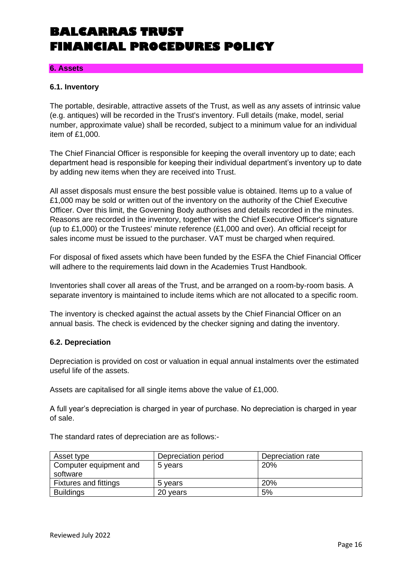#### **6. Assets**

#### **6.1. Inventory**

The portable, desirable, attractive assets of the Trust, as well as any assets of intrinsic value (e.g. antiques) will be recorded in the Trust's inventory. Full details (make, model, serial number, approximate value) shall be recorded, subject to a minimum value for an individual item of £1,000.

The Chief Financial Officer is responsible for keeping the overall inventory up to date; each department head is responsible for keeping their individual department's inventory up to date by adding new items when they are received into Trust.

All asset disposals must ensure the best possible value is obtained. Items up to a value of £1,000 may be sold or written out of the inventory on the authority of the Chief Executive Officer. Over this limit, the Governing Body authorises and details recorded in the minutes. Reasons are recorded in the inventory, together with the Chief Executive Officer's signature (up to £1,000) or the Trustees' minute reference  $(E1,000$  and over). An official receipt for sales income must be issued to the purchaser. VAT must be charged when required.

For disposal of fixed assets which have been funded by the ESFA the Chief Financial Officer will adhere to the requirements laid down in the Academies Trust Handbook.

Inventories shall cover all areas of the Trust, and be arranged on a room-by-room basis. A separate inventory is maintained to include items which are not allocated to a specific room.

The inventory is checked against the actual assets by the Chief Financial Officer on an annual basis. The check is evidenced by the checker signing and dating the inventory.

#### **6.2. Depreciation**

Depreciation is provided on cost or valuation in equal annual instalments over the estimated useful life of the assets.

Assets are capitalised for all single items above the value of £1,000.

A full year's depreciation is charged in year of purchase. No depreciation is charged in year of sale.

The standard rates of depreciation are as follows:-

| Asset type                   | Depreciation period | Depreciation rate |
|------------------------------|---------------------|-------------------|
| Computer equipment and       | 5 years             | 20%               |
| software                     |                     |                   |
| <b>Fixtures and fittings</b> | 5 years             | 20%               |
| <b>Buildings</b>             | 20 years            | 5%                |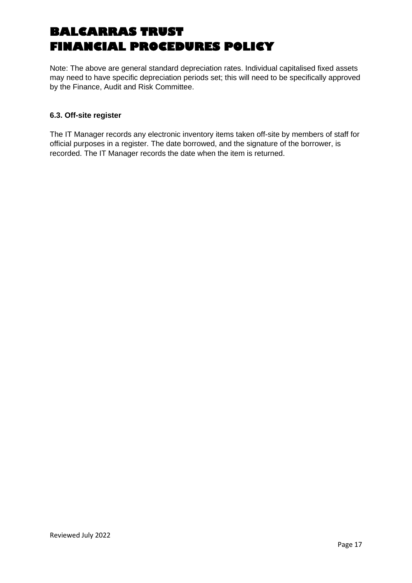Note: The above are general standard depreciation rates. Individual capitalised fixed assets may need to have specific depreciation periods set; this will need to be specifically approved by the Finance, Audit and Risk Committee.

## **6.3. Off-site register**

The IT Manager records any electronic inventory items taken off-site by members of staff for official purposes in a register. The date borrowed, and the signature of the borrower, is recorded. The IT Manager records the date when the item is returned.